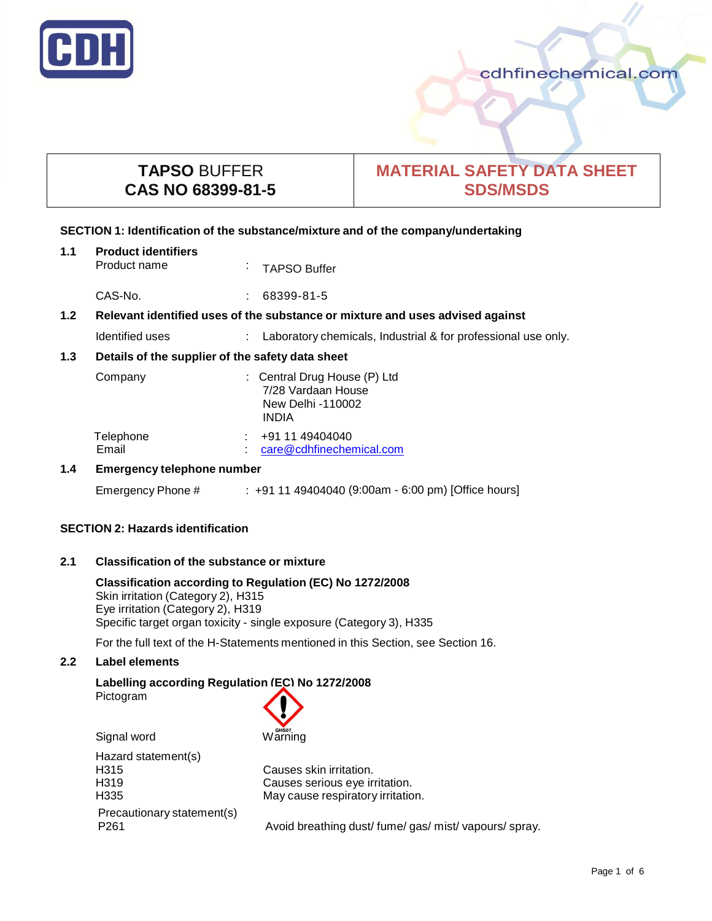

cdhfinechemical.com

# **TAPSO** BUFFER **CAS NO 68399-81-5**

# **MATERIAL SAFETY DATA SHEET SDS/MSDS**

## **SECTION 1: Identification of the substance/mixture and of the company/undertaking**

| 1.1 | <b>Product identifiers</b><br>Product name                                    | $\sim$ | <b>TAPSO Buffer</b>                                                                     |  |
|-----|-------------------------------------------------------------------------------|--------|-----------------------------------------------------------------------------------------|--|
|     | CAS-No.                                                                       |        | $: 68399 - 81 - 5$                                                                      |  |
| 1.2 | Relevant identified uses of the substance or mixture and uses advised against |        |                                                                                         |  |
|     | Identified uses                                                               |        | : Laboratory chemicals, Industrial & for professional use only.                         |  |
| 1.3 | Details of the supplier of the safety data sheet                              |        |                                                                                         |  |
|     | Company                                                                       |        | : Central Drug House (P) Ltd<br>7/28 Vardaan House<br>New Delhi -110002<br><b>INDIA</b> |  |
|     | Telephone<br>Email                                                            |        | +91 11 49404040<br>care@cdhfinechemical.com                                             |  |
| 1.4 | <b>Emergency telephone number</b>                                             |        |                                                                                         |  |
|     | Emergency Phone #                                                             |        | : +91 11 49404040 (9:00am - 6:00 pm) [Office hours]                                     |  |

## **SECTION 2: Hazards identification**

## **2.1 Classification of the substance or mixture**

## **Classification according to Regulation (EC) No 1272/2008** Skin irritation (Category 2), H315 Eye irritation (Category 2), H319 Specific target organ toxicity - single exposure (Category 3), H335

For the full text of the H-Statements mentioned in this Section, see Section 16.

# **2.2 Label elements**

# **Labelling according Regulation (EC) No 1272/2008**

Pictogram



Hazard statement(s) H315 Causes skin irritation. Precautionary statement(s)

H319 Causes serious eye irritation. H335 May cause respiratory irritation.

P261 **Avoid breathing dust/ fume/ gas/ mist/ vapours/ spray.**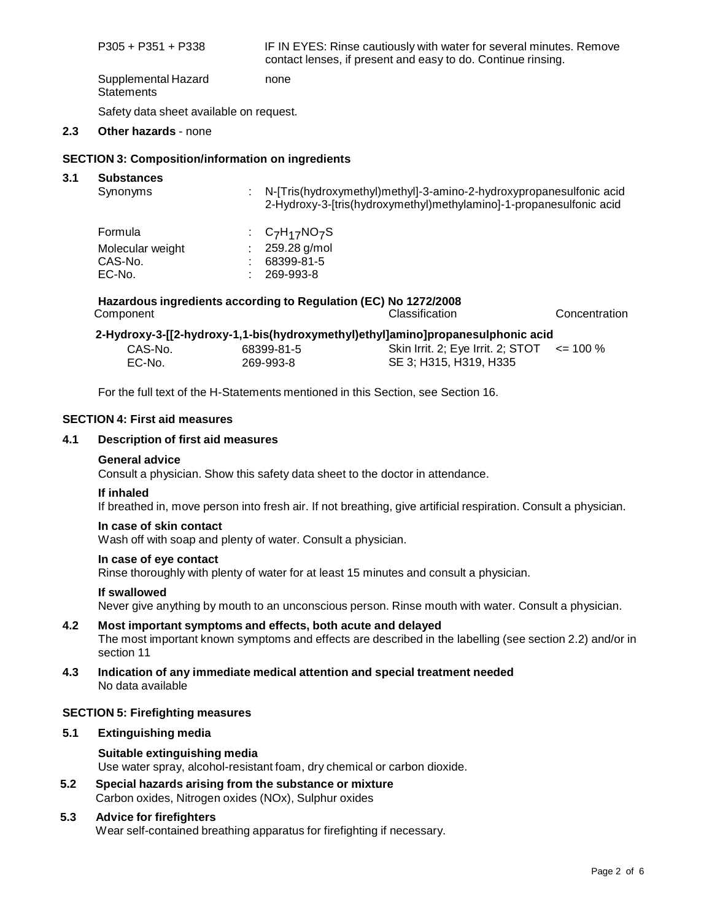P305 + P351 + P338 IF IN EYES: Rinse cautiously with water for several minutes. Remove contact lenses, if present and easy to do. Continue rinsing.

Supplemental Hazard **Statements** none

Safety data sheet available on request.

## **2.3 Other hazards** - none

## **SECTION 3: Composition/information on ingredients**

#### **3.1 Substances**

| Synonyms         | : N-[Tris(hydroxymethyl)methyl]-3-amino-2-hydroxypropanesulfonic acid<br>2-Hydroxy-3-[tris(hydroxymethyl)methylamino]-1-propanesulfonic acid |
|------------------|----------------------------------------------------------------------------------------------------------------------------------------------|
| Formula          | : $C_7H_{17}NO_7S$                                                                                                                           |
| Molecular weight | 259.28 g/mol                                                                                                                                 |
| CAS-No.          | 68399-81-5                                                                                                                                   |
| EC-No.           | 269-993-8                                                                                                                                    |

#### **Hazardous ingredients according to Regulation (EC) No 1272/2008** Component Classification Concentration

| 2-Hydroxy-3-[[2-hydroxy-1,1-bis(hydroxymethyl)ethyl]amino]propanesulphonic acid |            |                                   |              |  |  |
|---------------------------------------------------------------------------------|------------|-----------------------------------|--------------|--|--|
| CAS-No.                                                                         | 68399-81-5 | Skin Irrit. 2; Eye Irrit. 2; STOT | $\leq$ 100 % |  |  |
| EC-No.                                                                          | 269-993-8  | SE 3: H315, H319, H335            |              |  |  |

For the full text of the H-Statements mentioned in this Section, see Section 16.

#### **SECTION 4: First aid measures**

#### **4.1 Description of first aid measures**

#### **General advice**

Consult a physician. Show this safety data sheet to the doctor in attendance.

#### **If inhaled**

If breathed in, move person into fresh air. If not breathing, give artificial respiration. Consult a physician.

## **In case of skin contact**

Wash off with soap and plenty of water. Consult a physician.

#### **In case of eye contact**

Rinse thoroughly with plenty of water for at least 15 minutes and consult a physician.

#### **If swallowed**

Never give anything by mouth to an unconscious person. Rinse mouth with water. Consult a physician.

## **4.2 Most important symptoms and effects, both acute and delayed** The most important known symptoms and effects are described in the labelling (see section 2.2) and/or in section 11

#### **4.3 Indication of any immediate medical attention and special treatment needed** No data available

## **SECTION 5: Firefighting measures**

## **5.1 Extinguishing media**

## **Suitable extinguishing media** Use water spray, alcohol-resistant foam, dry chemical or carbon dioxide.

**5.2 Special hazards arising from the substance or mixture** Carbon oxides, Nitrogen oxides (NOx), Sulphur oxides

## **5.3 Advice for firefighters**

Wear self-contained breathing apparatus for firefighting if necessary.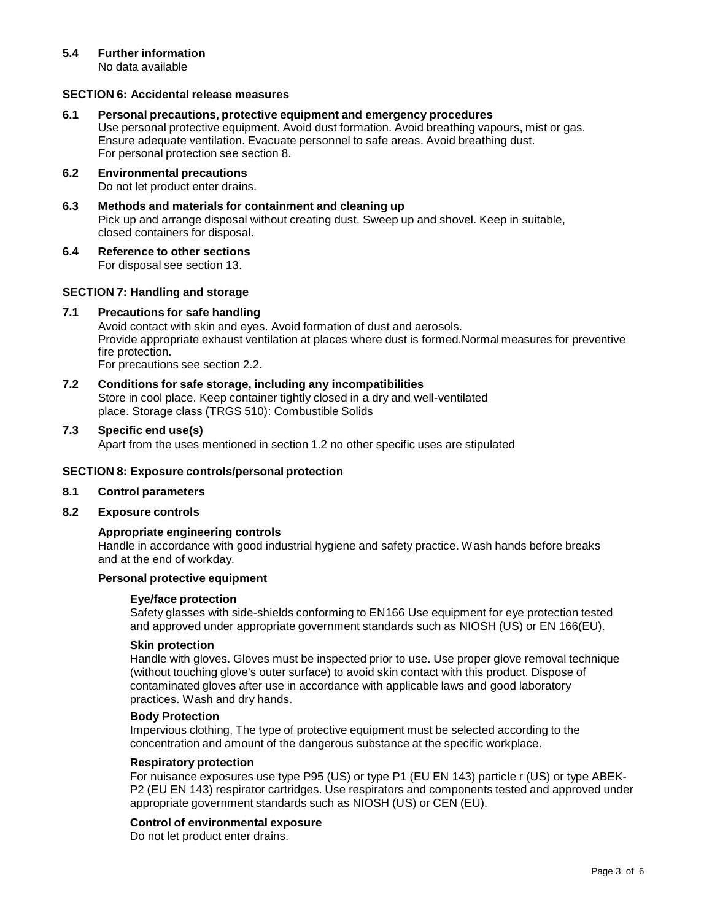# **5.4 Further information**

No data available

## **SECTION 6: Accidental release measures**

#### **6.1 Personal precautions, protective equipment and emergency procedures**

Use personal protective equipment. Avoid dust formation. Avoid breathing vapours, mist or gas. Ensure adequate ventilation. Evacuate personnel to safe areas. Avoid breathing dust. For personal protection see section 8.

## **6.2 Environmental precautions** Do not let product enter drains.

- **6.3 Methods and materials for containment and cleaning up** Pick up and arrange disposal without creating dust. Sweep up and shovel. Keep in suitable, closed containers for disposal.
- **6.4 Reference to other sections** For disposal see section 13.

## **SECTION 7: Handling and storage**

#### **7.1 Precautions for safe handling**

Avoid contact with skin and eyes. Avoid formation of dust and aerosols. Provide appropriate exhaust ventilation at places where dust is formed.Normal measures for preventive fire protection.

For precautions see section 2.2.

#### **7.2 Conditions for safe storage, including any incompatibilities** Store in cool place. Keep container tightly closed in a dry and well-ventilated place. Storage class (TRGS 510): Combustible Solids

#### **7.3 Specific end use(s)**

Apart from the uses mentioned in section 1.2 no other specific uses are stipulated

#### **SECTION 8: Exposure controls/personal protection**

#### **8.1 Control parameters**

**8.2 Exposure controls**

#### **Appropriate engineering controls**

Handle in accordance with good industrial hygiene and safety practice. Wash hands before breaks and at the end of workday.

## **Personal protective equipment**

#### **Eye/face protection**

Safety glasses with side-shields conforming to EN166 Use equipment for eye protection tested and approved under appropriate government standards such as NIOSH (US) or EN 166(EU).

#### **Skin protection**

Handle with gloves. Gloves must be inspected prior to use. Use proper glove removal technique (without touching glove's outer surface) to avoid skin contact with this product. Dispose of contaminated gloves after use in accordance with applicable laws and good laboratory practices. Wash and dry hands.

#### **Body Protection**

Impervious clothing, The type of protective equipment must be selected according to the concentration and amount of the dangerous substance at the specific workplace.

#### **Respiratory protection**

For nuisance exposures use type P95 (US) or type P1 (EU EN 143) particle r (US) or type ABEK-P2 (EU EN 143) respirator cartridges. Use respirators and components tested and approved under appropriate government standards such as NIOSH (US) or CEN (EU).

#### **Control of environmental exposure**

Do not let product enter drains.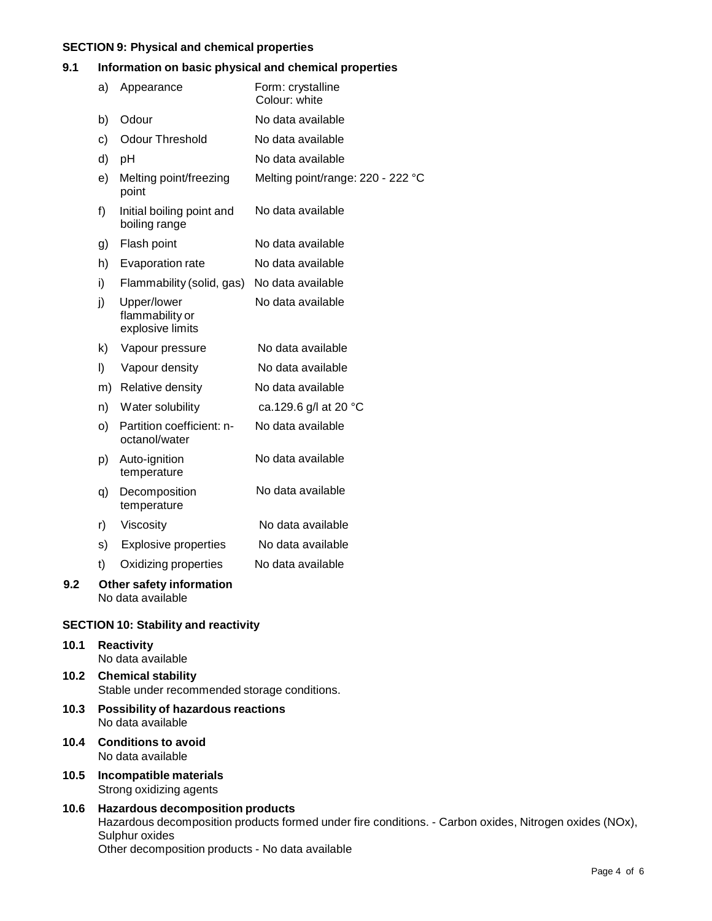# **SECTION 9: Physical and chemical properties**

## **9.1 Information on basic physical and chemical properties**

|     | a) | Appearance                                         | Form: crystalline<br>Colour: white |
|-----|----|----------------------------------------------------|------------------------------------|
|     | b) | Odour                                              | No data available                  |
|     | c) | <b>Odour Threshold</b>                             | No data available                  |
|     | d) | pH                                                 | No data available                  |
|     | e) | Melting point/freezing<br>point                    | Melting point/range: 220 - 222 °C  |
|     | f) | Initial boiling point and<br>boiling range         | No data available                  |
|     | g) | Flash point                                        | No data available                  |
|     | h) | Evaporation rate                                   | No data available                  |
|     | i) | Flammability (solid, gas)                          | No data available                  |
|     | j) | Upper/lower<br>flammability or<br>explosive limits | No data available                  |
|     | k) | Vapour pressure                                    | No data available                  |
|     | I) | Vapour density                                     | No data available                  |
|     | m) | Relative density                                   | No data available                  |
|     | n) | Water solubility                                   | ca.129.6 g/l at 20 °C              |
|     | o) | Partition coefficient: n-<br>octanol/water         | No data available                  |
|     | p) | Auto-ignition<br>temperature                       | No data available                  |
|     | q) | Decomposition<br>temperature                       | No data available                  |
|     | r) | Viscosity                                          | No data available                  |
|     | s) | <b>Explosive properties</b>                        | No data available                  |
|     | t) | Oxidizing properties                               | No data available                  |
| 9.2 |    | Other safety information<br>No data available      |                                    |

# **SECTION 10: Stability and reactivity**

- **10.1 Reactivity** No data available **10.2 Chemical stability** Stable under recommended storage conditions.
- **10.3 Possibility of hazardous reactions** No data available
- **10.4 Conditions to avoid** No data available
- **10.5 Incompatible materials** Strong oxidizing agents

## **10.6 Hazardous decomposition products** Hazardous decomposition products formed under fire conditions. - Carbon oxides, Nitrogen oxides (NOx), Sulphur oxides Other decomposition products - No data available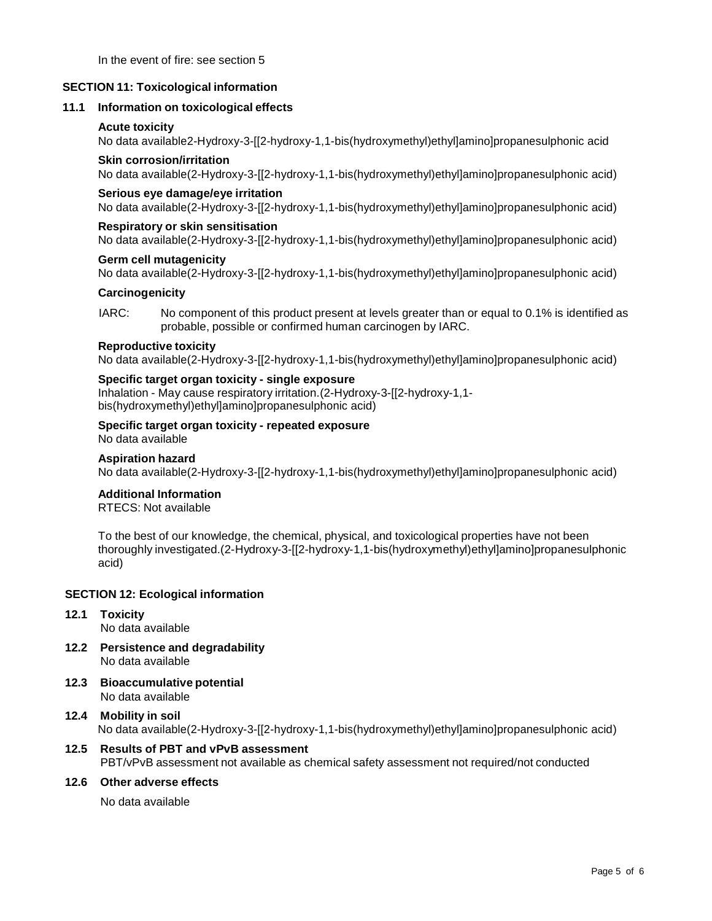In the event of fire: see section 5

## **SECTION 11: Toxicological information**

## **11.1 Information on toxicological effects**

## **Acute toxicity**

No data available2-Hydroxy-3-[[2-hydroxy-1,1-bis(hydroxymethyl)ethyl]amino]propanesulphonic acid

## **Skin corrosion/irritation**

No data available(2-Hydroxy-3-[[2-hydroxy-1,1-bis(hydroxymethyl)ethyl]amino]propanesulphonic acid)

## **Serious eye damage/eye irritation**

No data available(2-Hydroxy-3-[[2-hydroxy-1,1-bis(hydroxymethyl)ethyl]amino]propanesulphonic acid)

## **Respiratory or skin sensitisation**

No data available(2-Hydroxy-3-[[2-hydroxy-1,1-bis(hydroxymethyl)ethyl]amino]propanesulphonic acid)

## **Germ cell mutagenicity**

No data available(2-Hydroxy-3-[[2-hydroxy-1,1-bis(hydroxymethyl)ethyl]amino]propanesulphonic acid)

## **Carcinogenicity**

IARC: No component of this product present at levels greater than or equal to 0.1% is identified as probable, possible or confirmed human carcinogen by IARC.

#### **Reproductive toxicity**

No data available(2-Hydroxy-3-[[2-hydroxy-1,1-bis(hydroxymethyl)ethyl]amino]propanesulphonic acid)

# **Specific target organ toxicity - single exposure**

Inhalation - May cause respiratory irritation.(2-Hydroxy-3-[[2-hydroxy-1,1 bis(hydroxymethyl)ethyl]amino]propanesulphonic acid)

#### **Specific target organ toxicity - repeated exposure** No data available

# **Aspiration hazard**

No data available(2-Hydroxy-3-[[2-hydroxy-1,1-bis(hydroxymethyl)ethyl]amino]propanesulphonic acid)

## **Additional Information**

RTECS: Not available

To the best of our knowledge, the chemical, physical, and toxicological properties have not been thoroughly investigated.(2-Hydroxy-3-[[2-hydroxy-1,1-bis(hydroxymethyl)ethyl]amino]propanesulphonic acid)

# **SECTION 12: Ecological information**

**12.1 Toxicity**

No data available

- **12.2 Persistence and degradability** No data available
- **12.3 Bioaccumulative potential** No data available
- **12.4 Mobility in soil** No data available(2-Hydroxy-3-[[2-hydroxy-1,1-bis(hydroxymethyl)ethyl]amino]propanesulphonic acid)
- **12.5 Results of PBT and vPvB assessment** PBT/vPvB assessment not available as chemical safety assessment not required/not conducted

# **12.6 Other adverse effects**

No data available